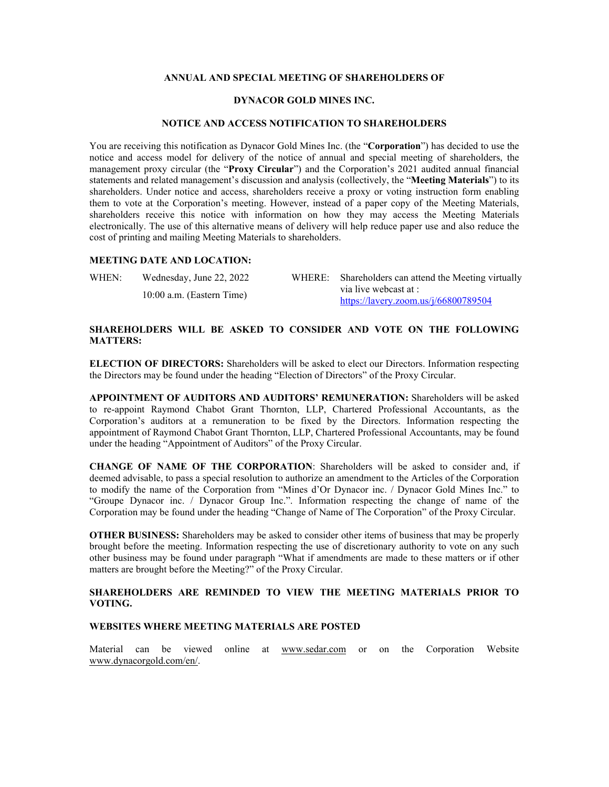### **ANNUAL AND SPECIAL MEETING OF SHAREHOLDERS OF**

### **DYNACOR GOLD MINES INC.**

#### **NOTICE AND ACCESS NOTIFICATION TO SHAREHOLDERS**

You are receiving this notification as Dynacor Gold Mines Inc. (the "**Corporation**") has decided to use the notice and access model for delivery of the notice of annual and special meeting of shareholders, the management proxy circular (the "**Proxy Circular**") and the Corporation's 2021 audited annual financial statements and related management's discussion and analysis (collectively, the "**Meeting Materials**") to its shareholders. Under notice and access, shareholders receive a proxy or voting instruction form enabling them to vote at the Corporation's meeting. However, instead of a paper copy of the Meeting Materials, shareholders receive this notice with information on how they may access the Meeting Materials electronically. The use of this alternative means of delivery will help reduce paper use and also reduce the cost of printing and mailing Meeting Materials to shareholders.

### **MEETING DATE AND LOCATION:**

| WHEN: | Wednesday, June 22, 2022  | WHERE: Shareholders can attend the Meeting virtually |
|-------|---------------------------|------------------------------------------------------|
|       | 10:00 a.m. (Eastern Time) | via live webcast at :                                |
|       |                           | https://lavery.zoom.us/j/66800789504                 |

# **SHAREHOLDERS WILL BE ASKED TO CONSIDER AND VOTE ON THE FOLLOWING MATTERS:**

**ELECTION OF DIRECTORS:** Shareholders will be asked to elect our Directors. Information respecting the Directors may be found under the heading "Election of Directors" of the Proxy Circular.

**APPOINTMENT OF AUDITORS AND AUDITORS' REMUNERATION:** Shareholders will be asked to re-appoint Raymond Chabot Grant Thornton, LLP, Chartered Professional Accountants, as the Corporation's auditors at a remuneration to be fixed by the Directors. Information respecting the appointment of Raymond Chabot Grant Thornton, LLP, Chartered Professional Accountants, may be found under the heading "Appointment of Auditors" of the Proxy Circular.

**CHANGE OF NAME OF THE CORPORATION**: Shareholders will be asked to consider and, if deemed advisable, to pass a special resolution to authorize an amendment to the Articles of the Corporation to modify the name of the Corporation from "Mines d'Or Dynacor inc. / Dynacor Gold Mines Inc." to "Groupe Dynacor inc. / Dynacor Group Inc.". Information respecting the change of name of the Corporation may be found under the heading "Change of Name of The Corporation" of the Proxy Circular.

**OTHER BUSINESS:** Shareholders may be asked to consider other items of business that may be properly brought before the meeting. Information respecting the use of discretionary authority to vote on any such other business may be found under paragraph "What if amendments are made to these matters or if other matters are brought before the Meeting?" of the Proxy Circular.

# **SHAREHOLDERS ARE REMINDED TO VIEW THE MEETING MATERIALS PRIOR TO VOTING.**

#### **WEBSITES WHERE MEETING MATERIALS ARE POSTED**

Material can be viewed online at www.sedar.com or on the Corporation Website [www.dynacorgold.com/en/.](http://dynacorgold.com/en/)